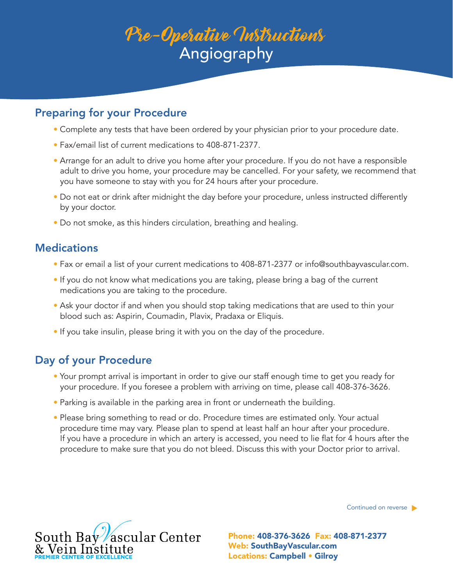# Pre-Operative Instructions Angiography

### Preparing for your Procedure

- Complete any tests that have been ordered by your physician prior to your procedure date.
- Fax/email list of current medications to 408-871-2377.
- Arrange for an adult to drive you home after your procedure. If you do not have a responsible adult to drive you home, your procedure may be cancelled. For your safety, we recommend that you have someone to stay with you for 24 hours after your procedure.
- Do not eat or drink after midnight the day before your procedure, unless instructed differently by your doctor.
- Do not smoke, as this hinders circulation, breathing and healing.

## **Medications**

- Fax or email a list of your current medications to 408-871-2377 or info@southbayvascular.com.
- If you do not know what medications you are taking, please bring a bag of the current medications you are taking to the procedure.
- Ask your doctor if and when you should stop taking medications that are used to thin your blood such as: Aspirin, Coumadin, Plavix, Pradaxa or Eliquis.
- If you take insulin, please bring it with you on the day of the procedure.

## Day of your Procedure

- Your prompt arrival is important in order to give our staff enough time to get you ready for your procedure. If you foresee a problem with arriving on time, please call 408-376-3626.
- Parking is available in the parking area in front or underneath the building.
- Please bring something to read or do. Procedure times are estimated only. Your actual procedure time may vary. Please plan to spend at least half an hour after your procedure. If you have a procedure in which an artery is accessed, you need to lie flat for 4 hours after the procedure to make sure that you do not bleed. Discuss this with your Doctor prior to arrival.

Continued on reverse



Web: SouthBayVascular.com Locations: Campbell • Gilroy Phone: 408-376-3626 Fax: 408-871-2377